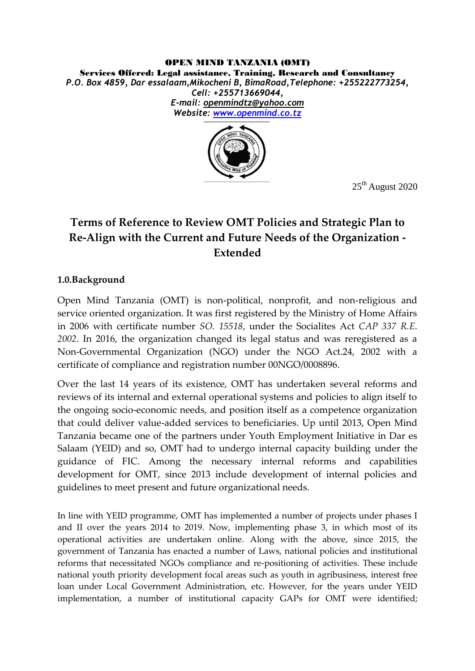#### OPEN MIND TANZANIA (OMT) Services Offered: Legal assistance, Training, Research and Consultancy *P.O. Box 4859, Dar essalaam,Mikocheni B, BimaRoad,Telephone: +255222773254, Cell: +255713669044, E-mail: [openmindtz@yahoo.com](mailto:openmindtz@yahoo.com) Website: [www.openmind.co.tz](http://www.openmind.co.tz/)*



25<sup>th</sup> August 2020

# **Terms of Reference to Review OMT Policies and Strategic Plan to Re-Align with the Current and Future Needs of the Organization - Extended**

# **1.0.Background**

Open Mind Tanzania (OMT) is non-political, nonprofit, and non-religious and service oriented organization. It was first registered by the Ministry of Home Affairs in 2006 with certificate number *SO. 15518*, under the Socialites Act *CAP 337 R.E. 2002*. In 2016, the organization changed its legal status and was reregistered as a Non-Governmental Organization (NGO) under the NGO Act.24, 2002 with a certificate of compliance and registration number 00NGO/0008896.

Over the last 14 years of its existence, OMT has undertaken several reforms and reviews of its internal and external operational systems and policies to align itself to the ongoing socio-economic needs, and position itself as a competence organization that could deliver value-added services to beneficiaries. Up until 2013, Open Mind Tanzania became one of the partners under Youth Employment Initiative in Dar es Salaam (YEID) and so, OMT had to undergo internal capacity building under the guidance of FIC. Among the necessary internal reforms and capabilities development for OMT, since 2013 include development of internal policies and guidelines to meet present and future organizational needs.

In line with YEID programme, OMT has implemented a number of projects under phases I and II over the years 2014 to 2019. Now, implementing phase 3, in which most of its operational activities are undertaken online. Along with the above, since 2015, the government of Tanzania has enacted a number of Laws, national policies and institutional reforms that necessitated NGOs compliance and re-positioning of activities. These include national youth priority development focal areas such as youth in agribusiness, interest free loan under Local Government Administration, etc. However, for the years under YEID implementation, a number of institutional capacity GAPs for OMT were identified;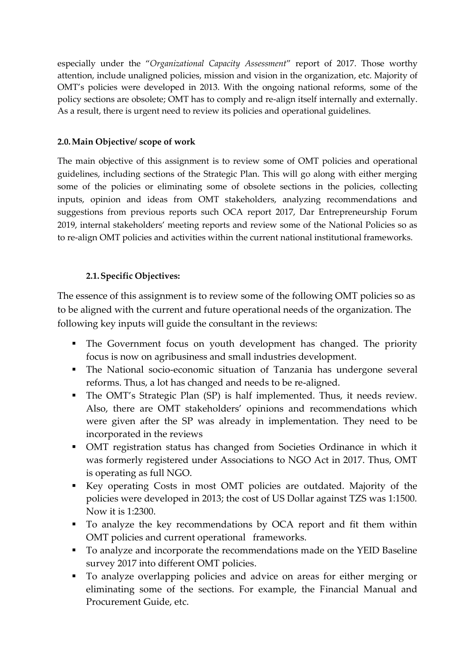especially under the '*Organizational Capacity Assessment*' report of 2017. Those worthy attention, include unaligned policies, mission and vision in the organization, etc. Majority of OMT's policies were developed in 2013. With the ongoing national reforms, some of the policy sections are obsolete; OMT has to comply and re-align itself internally and externally. As a result, there is urgent need to review its policies and operational guidelines.

### **2.0.Main Objective/ scope of work**

The main objective of this assignment is to review some of OMT policies and operational guidelines, including sections of the Strategic Plan. This will go along with either merging some of the policies or eliminating some of obsolete sections in the policies, collecting inputs, opinion and ideas from OMT stakeholders, analyzing recommendations and suggestions from previous reports such OCA report 2017, Dar Entrepreneurship Forum 2019, internal stakeholders' meeting reports and review some of the National Policies so as to re-align OMT policies and activities within the current national institutional frameworks.

#### **2.1.Specific Objectives:**

The essence of this assignment is to review some of the following OMT policies so as to be aligned with the current and future operational needs of the organization. The following key inputs will guide the consultant in the reviews:

- The Government focus on youth development has changed. The priority focus is now on agribusiness and small industries development.
- The National socio-economic situation of Tanzania has undergone several reforms. Thus, a lot has changed and needs to be re-aligned.
- The OMT's Strategic Plan (SP) is half implemented. Thus, it needs review. Also, there are OMT stakeholders' opinions and recommendations which were given after the SP was already in implementation. They need to be incorporated in the reviews
- OMT registration status has changed from Societies Ordinance in which it was formerly registered under Associations to NGO Act in 2017. Thus, OMT is operating as full NGO.
- Key operating Costs in most OMT policies are outdated. Majority of the policies were developed in 2013; the cost of US Dollar against TZS was 1:1500. Now it is 1:2300.
- To analyze the key recommendations by OCA report and fit them within OMT policies and current operational frameworks.
- To analyze and incorporate the recommendations made on the YEID Baseline survey 2017 into different OMT policies.
- To analyze overlapping policies and advice on areas for either merging or eliminating some of the sections. For example, the Financial Manual and Procurement Guide, etc.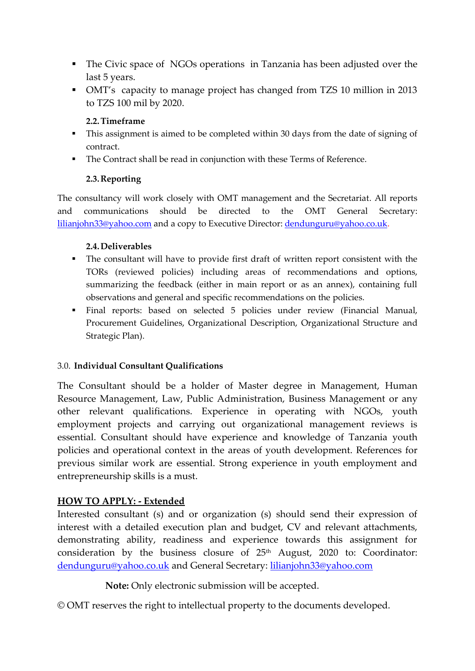- The Civic space of NGOs operations in Tanzania has been adjusted over the last 5 years.
- OMT's capacity to manage project has changed from TZS 10 million in 2013 to TZS 100 mil by 2020.

#### **2.2.Timeframe**

- This assignment is aimed to be completed within 30 days from the date of signing of contract.
- The Contract shall be read in conjunction with these Terms of Reference.

# **2.3.Reporting**

The consultancy will work closely with OMT management and the Secretariat. All reports and communications should be directed to the OMT General Secretary: [lilianjohn33@yahoo.com](mailto:lilianjohn33@yahoo.com) and a copy to Executive Director: [dendunguru@yahoo.co.uk.](mailto:dendunguru@yahoo.co.uk)

#### **2.4.Deliverables**

- The consultant will have to provide first draft of written report consistent with the TORs (reviewed policies) including areas of recommendations and options, summarizing the feedback (either in main report or as an annex), containing full observations and general and specific recommendations on the policies.
- Final reports: based on selected 5 policies under review (Financial Manual, Procurement Guidelines, Organizational Description, Organizational Structure and Strategic Plan).

# 3.0. **Individual Consultant Qualifications**

The Consultant should be a holder of Master degree in Management, Human Resource Management, Law, Public Administration, Business Management or any other relevant qualifications. Experience in operating with NGOs, youth employment projects and carrying out organizational management reviews is essential. Consultant should have experience and knowledge of Tanzania youth policies and operational context in the areas of youth development. References for previous similar work are essential. Strong experience in youth employment and entrepreneurship skills is a must.

# **HOW TO APPLY: - Extended**

Interested consultant (s) and or organization (s) should send their expression of interest with a detailed execution plan and budget, CV and relevant attachments, demonstrating ability, readiness and experience towards this assignment for consideration by the business closure of 25<sup>th</sup> August, 2020 to: Coordinator: [dendunguru@yahoo.co.uk](mailto:dendunguru@yahoo.co.uk) and General Secretary: [lilianjohn33@yahoo.com](mailto:lilianjohn33@yahoo.com) 

 **Note:** Only electronic submission will be accepted.

© OMT reserves the right to intellectual property to the documents developed.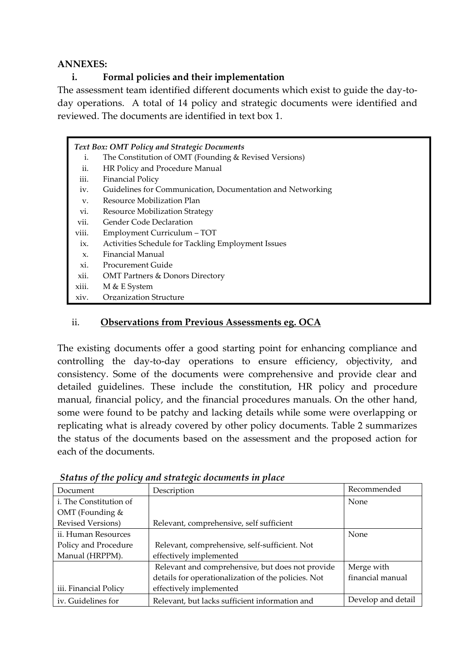#### **ANNEXES:**

# **i. Formal policies and their implementation**

The assessment team identified different documents which exist to guide the day-today operations. A total of 14 policy and strategic documents were identified and reviewed. The documents are identified in text box 1.

| <b>Text Box: OMT Policy and Strategic Documents</b> |                                                            |  |  |
|-----------------------------------------------------|------------------------------------------------------------|--|--|
| i.                                                  | The Constitution of OMT (Founding & Revised Versions)      |  |  |
| ii.                                                 | HR Policy and Procedure Manual                             |  |  |
| iii.                                                | <b>Financial Policy</b>                                    |  |  |
| iv.                                                 | Guidelines for Communication, Documentation and Networking |  |  |
| V.                                                  | Resource Mobilization Plan                                 |  |  |
| vi.                                                 | <b>Resource Mobilization Strategy</b>                      |  |  |
| vii.                                                | <b>Gender Code Declaration</b>                             |  |  |
| viii.                                               | Employment Curriculum - TOT                                |  |  |
| ix.                                                 | Activities Schedule for Tackling Employment Issues         |  |  |
| $X_{\cdot}$                                         | Financial Manual                                           |  |  |
| xi.                                                 | <b>Procurement Guide</b>                                   |  |  |
| xii.                                                | <b>OMT Partners &amp; Donors Directory</b>                 |  |  |
| xiii.                                               | M & E System                                               |  |  |
| xiv.                                                | Organization Structure                                     |  |  |
|                                                     |                                                            |  |  |

# ii. **Observations from Previous Assessments eg. OCA**

The existing documents offer a good starting point for enhancing compliance and controlling the day-to-day operations to ensure efficiency, objectivity, and consistency. Some of the documents were comprehensive and provide clear and detailed guidelines. These include the constitution, HR policy and procedure manual, financial policy, and the financial procedures manuals. On the other hand, some were found to be patchy and lacking details while some were overlapping or replicating what is already covered by other policy documents. Table 2 summarizes the status of the documents based on the assessment and the proposed action for each of the documents.

| Document                      | Description                                         | Recommended        |
|-------------------------------|-----------------------------------------------------|--------------------|
| <i>i.</i> The Constitution of |                                                     | None               |
| OMT (Founding $&$             |                                                     |                    |
| <b>Revised Versions</b> )     | Relevant, comprehensive, self sufficient            |                    |
| ii. Human Resources           |                                                     | None               |
| Policy and Procedure          | Relevant, comprehensive, self-sufficient. Not       |                    |
| Manual (HRPPM).               | effectively implemented                             |                    |
|                               | Relevant and comprehensive, but does not provide    | Merge with         |
|                               | details for operationalization of the policies. Not | financial manual   |
| iii. Financial Policy         | effectively implemented                             |                    |
| iv. Guidelines for            | Relevant, but lacks sufficient information and      | Develop and detail |

*Status of the policy and strategic documents in place*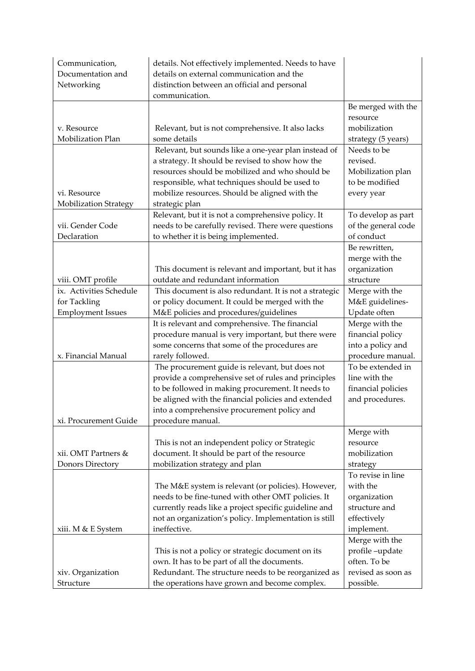| Communication,           | details. Not effectively implemented. Needs to have                                                      |                                        |
|--------------------------|----------------------------------------------------------------------------------------------------------|----------------------------------------|
| Documentation and        | details on external communication and the                                                                |                                        |
| Networking               | distinction between an official and personal<br>communication.                                           |                                        |
|                          |                                                                                                          | Be merged with the                     |
|                          |                                                                                                          | resource                               |
| v. Resource              | Relevant, but is not comprehensive. It also lacks                                                        | mobilization                           |
| Mobilization Plan        | some details                                                                                             | strategy (5 years)                     |
|                          | Relevant, but sounds like a one-year plan instead of                                                     | Needs to be                            |
|                          | a strategy. It should be revised to show how the                                                         | revised.                               |
|                          | resources should be mobilized and who should be                                                          | Mobilization plan                      |
|                          | responsible, what techniques should be used to                                                           | to be modified                         |
| vi. Resource             | mobilize resources. Should be aligned with the                                                           | every year                             |
| Mobilization Strategy    | strategic plan<br>Relevant, but it is not a comprehensive policy. It                                     | To develop as part                     |
| vii. Gender Code         | needs to be carefully revised. There were questions                                                      | of the general code                    |
| Declaration              | to whether it is being implemented.                                                                      | of conduct                             |
|                          |                                                                                                          | Be rewritten,                          |
|                          |                                                                                                          | merge with the                         |
|                          | This document is relevant and important, but it has                                                      | organization                           |
| viii. OMT profile        | outdate and redundant information                                                                        | structure                              |
| ix. Activities Schedule  | This document is also redundant. It is not a strategic                                                   | Merge with the                         |
| for Tackling             | or policy document. It could be merged with the                                                          | M&E guidelines-                        |
| <b>Employment Issues</b> | M&E policies and procedures/guidelines                                                                   | Update often                           |
|                          | It is relevant and comprehensive. The financial                                                          | Merge with the                         |
|                          | procedure manual is very important, but there were                                                       | financial policy                       |
| x. Financial Manual      | some concerns that some of the procedures are<br>rarely followed.                                        | into a policy and<br>procedure manual. |
|                          | The procurement guide is relevant, but does not                                                          | To be extended in                      |
|                          | provide a comprehensive set of rules and principles                                                      | line with the                          |
|                          | to be followed in making procurement. It needs to                                                        | financial policies                     |
|                          | be aligned with the financial policies and extended                                                      | and procedures.                        |
|                          | into a comprehensive procurement policy and                                                              |                                        |
| xi. Procurement Guide    | procedure manual.                                                                                        |                                        |
|                          |                                                                                                          | Merge with                             |
|                          | This is not an independent policy or Strategic                                                           | resource                               |
| xii. OMT Partners &      | document. It should be part of the resource                                                              | mobilization                           |
| Donors Directory         | mobilization strategy and plan                                                                           | strategy<br>To revise in line          |
|                          |                                                                                                          | with the                               |
|                          | The M&E system is relevant (or policies). However,<br>needs to be fine-tuned with other OMT policies. It | organization                           |
|                          | currently reads like a project specific guideline and                                                    | structure and                          |
|                          | not an organization's policy. Implementation is still                                                    | effectively                            |
| xiii. M & E System       | ineffective.                                                                                             | implement.                             |
|                          |                                                                                                          | Merge with the                         |
|                          | This is not a policy or strategic document on its                                                        | profile-update                         |
|                          | own. It has to be part of all the documents.                                                             | often. To be                           |
| xiv. Organization        | Redundant. The structure needs to be reorganized as                                                      | revised as soon as                     |
| Structure                | the operations have grown and become complex.                                                            | possible.                              |